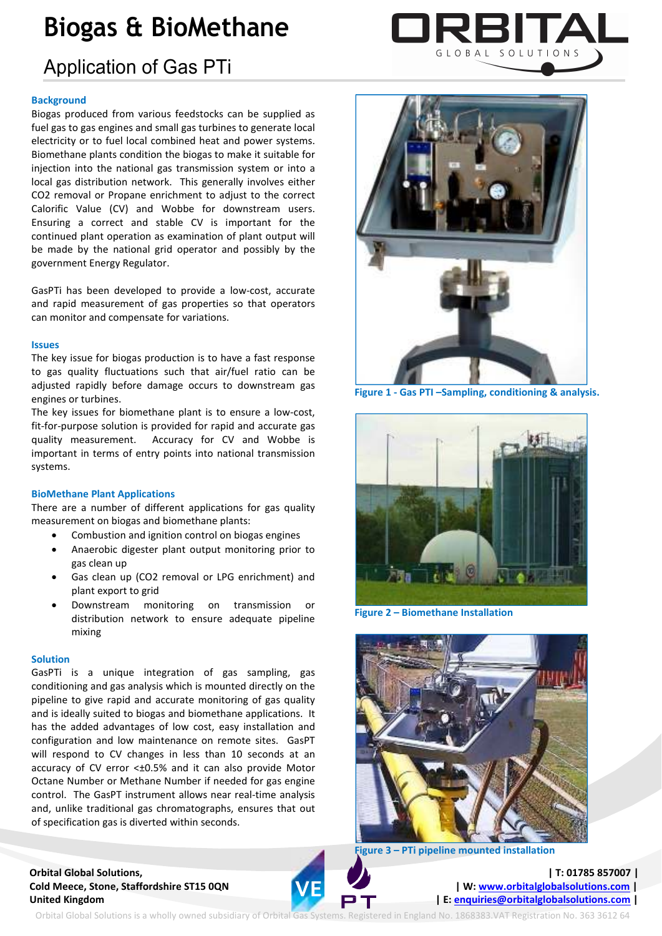# **Biogas & BioMethane**

# Application of Gas PTi

# **Background**

Biogas produced from various feedstocks can be supplied as fuel gas to gas engines and small gas turbines to generate local electricity or to fuel local combined heat and power systems. Biomethane plants condition the biogas to make it suitable for injection into the national gas transmission system or into a local gas distribution network. This generally involves either CO2 removal or Propane enrichment to adjust to the correct Calorific Value (CV) and Wobbe for downstream users. Ensuring a correct and stable CV is important for the continued plant operation as examination of plant output will be made by the national grid operator and possibly by the government Energy Regulator.

GasPTi has been developed to provide a low-cost, accurate and rapid measurement of gas properties so that operators can monitor and compensate for variations.

#### **Issues**

The key issue for biogas production is to have a fast response to gas quality fluctuations such that air/fuel ratio can be adjusted rapidly before damage occurs to downstream gas engines or turbines.

The key issues for biomethane plant is to ensure a low-cost, fit-for-purpose solution is provided for rapid and accurate gas quality measurement. Accuracy for CV and Wobbe is important in terms of entry points into national transmission systems.

# **BioMethane Plant Applications**

There are a number of different applications for gas quality measurement on biogas and biomethane plants:

- Combustion and ignition control on biogas engines
- Anaerobic digester plant output monitoring prior to gas clean up
- Gas clean up (CO2 removal or LPG enrichment) and plant export to grid
- Downstream monitoring on transmission or distribution network to ensure adequate pipeline mixing

# **Solution**

GasPTi is a unique integration of gas sampling, gas conditioning and gas analysis which is mounted directly on the pipeline to give rapid and accurate monitoring of gas quality and is ideally suited to biogas and biomethane applications. It has the added advantages of low cost, easy installation and configuration and low maintenance on remote sites. GasPT will respond to CV changes in less than 10 seconds at an accuracy of CV error <±0.5% and it can also provide Motor Octane Number or Methane Number if needed for gas engine control. The GasPT instrument allows near real-time analysis and, unlike traditional gas chromatographs, ensures that out of specification gas is diverted within seconds.

# **Orbital Global Solutions, | T: 01785 857007 | Cold Meece, Stone, Staffordshire ST15 0QN | W: www.orbitalglobalsolutions.com |**  $\blacksquare$  | **W: www.orbitalglobalsolutions.com** | United Kingdom **| E: enquiries@orbitalglobalsolutions.com** | E: enquiries@orbitalglobalsolutions.com |





**Figure 1 - Gas PTI –Sampling, conditioning & analysis.** 



**Figure 2 – Biomethane Installation** 





Orbital Global Solutions is a wholly owned subsidiary of Orbital Gas Systems. Registered in England No. 1868383.VAT Registration No. 363 3612 64